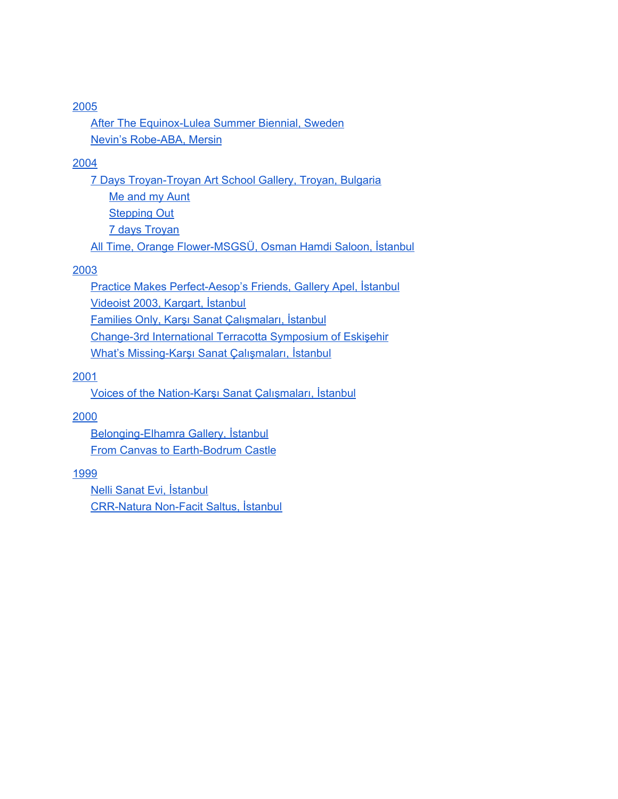After The [Equinox-Lulea](#page-1-0) Summer Biennial, Sweden Nevin's [Robe-ABA,](#page-2-0) Mersin

#### 2004

7 Days [Troyan-Troyan](#page-2-1) Art School Gallery, Troyan, Bulgaria Me and my [Aunt](#page-2-2) **[Stepping](#page-3-0) Out** 7 days [Troyan](#page-3-1) All Time, Orange Flower-MSGSÜ, Osman Hamdi Saloon, İstanbul

#### [2003](#page-4-0)

Practice Makes [Perfect-Aesop's](#page-4-1) Friends, Gallery Apel, İstanbul [Videoist](#page-6-0) 2003, Kargart, İstanbul Families Only, Karşı Sanat [Çalışmaları,](#page-6-1) İstanbul Change-3rd [International](#page-7-0) Terracotta Symposium of Eskişehir What's Missing-Karşı Sanat Çalışmaları, İstanbul

#### [2001](#page-8-0)

Voices of the Nation-Karşı Sanat Çalışmaları, İstanbul

#### [2000](#page-9-0)

[Belonging-Elhamra](#page-9-1) Gallery, İstanbul From Canvas to [Earth-Bodrum](#page-9-2) Castle

#### [1999](#page-10-0)

Nelli Sanat Evi, [İstanbul](#page-10-1) [CRR-Natura](#page-10-2) Non-Facit Saltus, İstanbul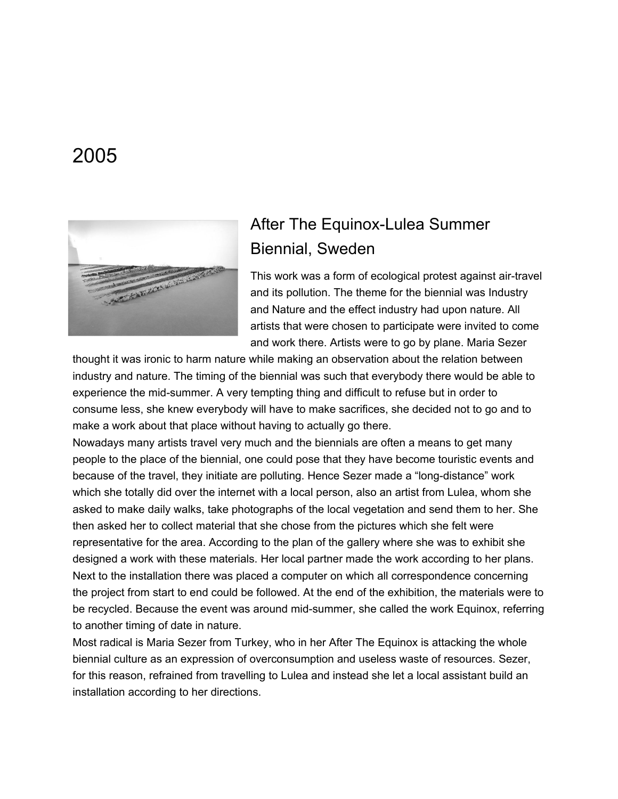<span id="page-1-0"></span>

## After The Equinox-Lulea Summer Biennial, Sweden

This work was a form of ecological protest against air-travel and its pollution. The theme for the biennial was Industry and Nature and the effect industry had upon nature. All artists that were chosen to participate were invited to come and work there. Artists were to go by plane. Maria Sezer

thought it was ironic to harm nature while making an observation about the relation between industry and nature. The timing of the biennial was such that everybody there would be able to experience the mid-summer. A very tempting thing and difficult to refuse but in order to consume less, she knew everybody will have to make sacrifices, she decided not to go and to make a work about that place without having to actually go there.

Nowadays many artists travel very much and the biennials are often a means to get many people to the place of the biennial, one could pose that they have become touristic events and because of the travel, they initiate are polluting. Hence Sezer made a "long-distance" work which she totally did over the internet with a local person, also an artist from Lulea, whom she asked to make daily walks, take photographs of the local vegetation and send them to her. She then asked her to collect material that she chose from the pictures which she felt were representative for the area. According to the plan of the gallery where she was to exhibit she designed a work with these materials. Her local partner made the work according to her plans. Next to the installation there was placed a computer on which all correspondence concerning the project from start to end could be followed. At the end of the exhibition, the materials were to be recycled. Because the event was around mid-summer, she called the work Equinox, referring to another timing of date in nature.

Most radical is Maria Sezer from Turkey, who in her After The Equinox is attacking the whole biennial culture as an expression of overconsumption and useless waste of resources. Sezer, for this reason, refrained from travelling to Lulea and instead she let a local assistant build an installation according to her directions.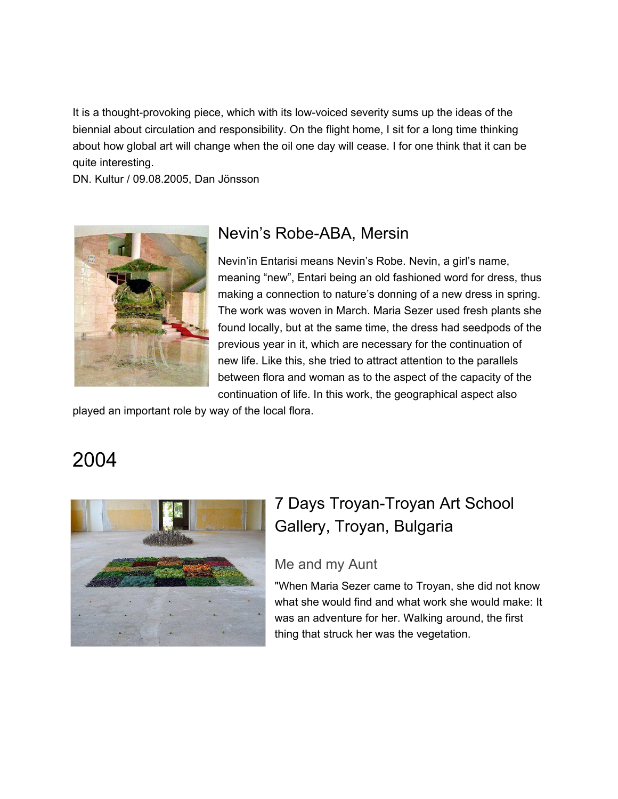It is a thought-provoking piece, which with its low-voiced severity sums up the ideas of the biennial about circulation and responsibility. On the flight home, I sit for a long time thinking about how global art will change when the oil one day will cease. I for one think that it can be quite interesting.

DN. Kultur / 09.08.2005, Dan Jönsson

<span id="page-2-0"></span>

### Nevin's Robe-ABA, Mersin

Nevin'in Entarisi means Nevin's Robe. Nevin, a girl's name, meaning "new", Entari being an old fashioned word for dress, thus making a connection to nature's donning of a new dress in spring. The work was woven in March. Maria Sezer used fresh plants she found locally, but at the same time, the dress had seedpods of the previous year in it, which are necessary for the continuation of new life. Like this, she tried to attract attention to the parallels between flora and woman as to the aspect of the capacity of the continuation of life. In this work, the geographical aspect also

played an important role by way of the local flora.

## 2004

<span id="page-2-2"></span><span id="page-2-1"></span>

## 7 Days Troyan-Troyan Art School Gallery, Troyan, Bulgaria

#### Me and my Aunt

"When Maria Sezer came to Troyan, she did not know what she would find and what work she would make: It was an adventure for her. Walking around, the first thing that struck her was the vegetation.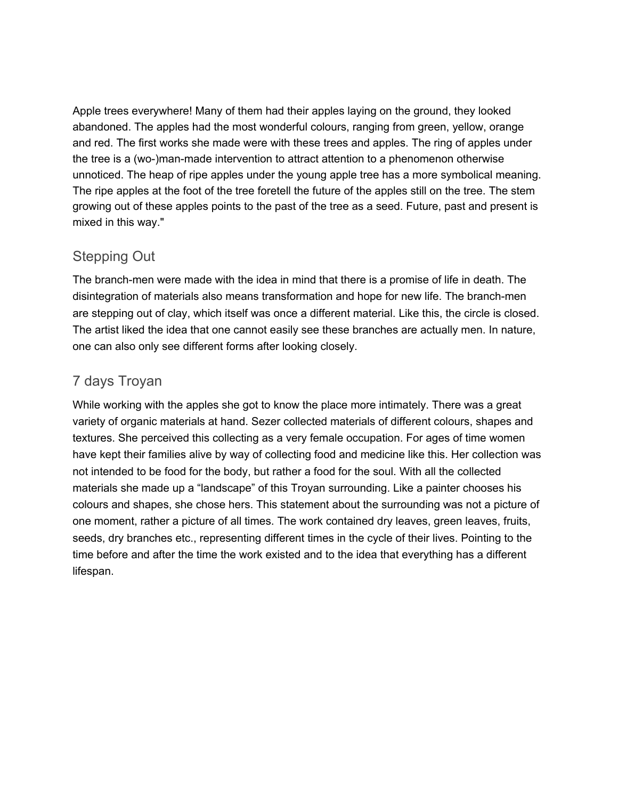Apple trees everywhere! Many of them had their apples laying on the ground, they looked abandoned. The apples had the most wonderful colours, ranging from green, yellow, orange and red. The first works she made were with these trees and apples. The ring of apples under the tree is a (wo-)man-made intervention to attract attention to a phenomenon otherwise unnoticed. The heap of ripe apples under the young apple tree has a more symbolical meaning. The ripe apples at the foot of the tree foretell the future of the apples still on the tree. The stem growing out of these apples points to the past of the tree as a seed. Future, past and present is mixed in this way."

#### <span id="page-3-0"></span>Stepping Out

The branch-men were made with the idea in mind that there is a promise of life in death. The disintegration of materials also means transformation and hope for new life. The branch-men are stepping out of clay, which itself was once a different material. Like this, the circle is closed. The artist liked the idea that one cannot easily see these branches are actually men. In nature, one can also only see different forms after looking closely.

#### <span id="page-3-1"></span>7 days Troyan

While working with the apples she got to know the place more intimately. There was a great variety of organic materials at hand. Sezer collected materials of different colours, shapes and textures. She perceived this collecting as a very female occupation. For ages of time women have kept their families alive by way of collecting food and medicine like this. Her collection was not intended to be food for the body, but rather a food for the soul. With all the collected materials she made up a "landscape" of this Troyan surrounding. Like a painter chooses his colours and shapes, she chose hers. This statement about the surrounding was not a picture of one moment, rather a picture of all times. The work contained dry leaves, green leaves, fruits, seeds, dry branches etc., representing different times in the cycle of their lives. Pointing to the time before and after the time the work existed and to the idea that everything has a different lifespan.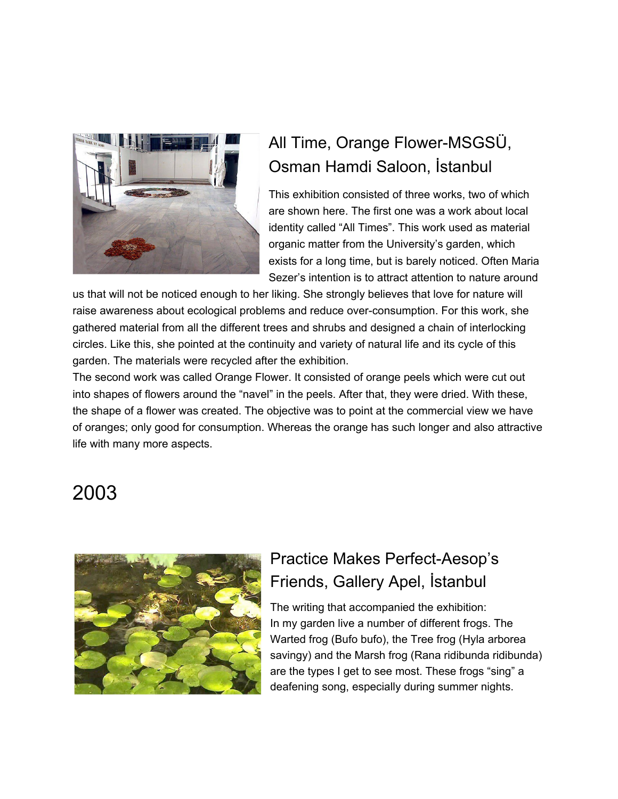

# All Time, Orange Flower-MSGSÜ, Osman Hamdi Saloon, İstanbul

This exhibition consisted of three works, two of which are shown here. The first one was a work about local identity called "All Times". This work used as material organic matter from the University's garden, which exists for a long time, but is barely noticed. Often Maria Sezer's intention is to attract attention to nature around

us that will not be noticed enough to her liking. She strongly believes that love for nature will raise awareness about ecological problems and reduce over-consumption. For this work, she gathered material from all the different trees and shrubs and designed a chain of interlocking circles. Like this, she pointed at the continuity and variety of natural life and its cycle of this garden. The materials were recycled after the exhibition.

The second work was called Orange Flower. It consisted of orange peels which were cut out into shapes of flowers around the "navel" in the peels. After that, they were dried. With these, the shape of a flower was created. The objective was to point at the commercial view we have of oranges; only good for consumption. Whereas the orange has such longer and also attractive life with many more aspects.

# <span id="page-4-0"></span>2003

<span id="page-4-1"></span>

## Practice Makes Perfect-Aesop's Friends, Gallery Apel, İstanbul

The writing that accompanied the exhibition: In my garden live a number of different frogs. The Warted frog (Bufo bufo), the Tree frog (Hyla arborea savingy) and the Marsh frog (Rana ridibunda ridibunda) are the types I get to see most. These frogs "sing" a deafening song, especially during summer nights.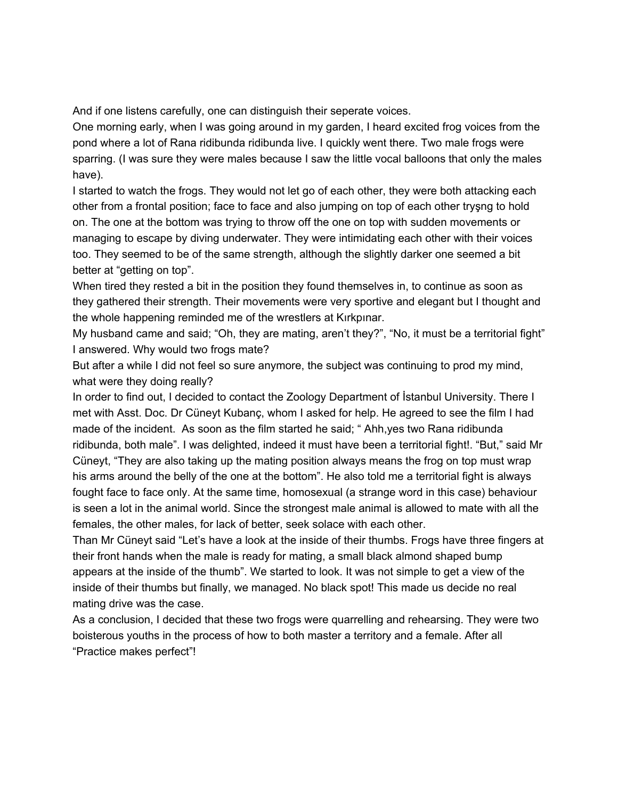And if one listens carefully, one can distinguish their seperate voices.

One morning early, when I was going around in my garden, I heard excited frog voices from the pond where a lot of Rana ridibunda ridibunda live. I quickly went there. Two male frogs were sparring. (I was sure they were males because I saw the little vocal balloons that only the males have).

I started to watch the frogs. They would not let go of each other, they were both attacking each other from a frontal position; face to face and also jumping on top of each other tryşng to hold on. The one at the bottom was trying to throw off the one on top with sudden movements or managing to escape by diving underwater. They were intimidating each other with their voices too. They seemed to be of the same strength, although the slightly darker one seemed a bit better at "getting on top".

When tired they rested a bit in the position they found themselves in, to continue as soon as they gathered their strength. Their movements were very sportive and elegant but I thought and the whole happening reminded me of the wrestlers at Kırkpınar.

My husband came and said; "Oh, they are mating, aren't they?", "No, it must be a territorial fight" I answered. Why would two frogs mate?

But after a while I did not feel so sure anymore, the subject was continuing to prod my mind, what were they doing really?

In order to find out, I decided to contact the Zoology Department of İstanbul University. There I met with Asst. Doc. Dr Cüneyt Kubanç, whom I asked for help. He agreed to see the film I had made of the incident. As soon as the film started he said; " Ahh,yes two Rana ridibunda ridibunda, both male". I was delighted, indeed it must have been a territorial fight!. "But," said Mr Cüneyt, "They are also taking up the mating position always means the frog on top must wrap his arms around the belly of the one at the bottom". He also told me a territorial fight is always fought face to face only. At the same time, homosexual (a strange word in this case) behaviour is seen a lot in the animal world. Since the strongest male animal is allowed to mate with all the females, the other males, for lack of better, seek solace with each other.

Than Mr Cüneyt said "Let's have a look at the inside of their thumbs. Frogs have three fingers at their front hands when the male is ready for mating, a small black almond shaped bump appears at the inside of the thumb". We started to look. It was not simple to get a view of the inside of their thumbs but finally, we managed. No black spot! This made us decide no real mating drive was the case.

As a conclusion, I decided that these two frogs were quarrelling and rehearsing. They were two boisterous youths in the process of how to both master a territory and a female. After all "Practice makes perfect"!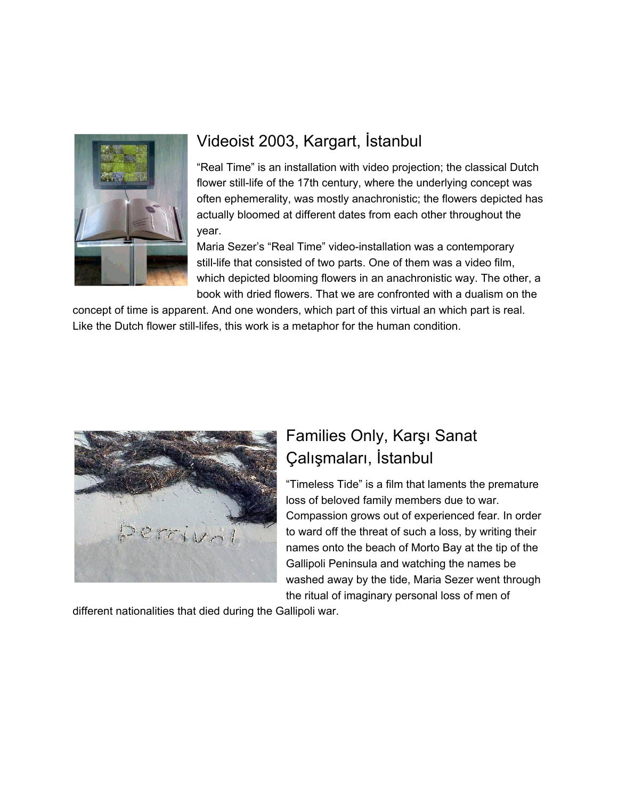<span id="page-6-0"></span>

## Videoist 2003, Kargart, İstanbul

"Real Time" is an installation with video projection; the classical Dutch flower still-life of the 17th century, where the underlying concept was often ephemerality, was mostly anachronistic; the flowers depicted has actually bloomed at different dates from each other throughout the year.

Maria Sezer's "Real Time" video-installation was a contemporary still-life that consisted of two parts. One of them was a video film, which depicted blooming flowers in an anachronistic way. The other, a book with dried flowers. That we are confronted with a dualism on the

concept of time is apparent. And one wonders, which part of this virtual an which part is real. Like the Dutch flower still-lifes, this work is a metaphor for the human condition.

<span id="page-6-1"></span>

## Families Only, Karşı Sanat Çalışmaları, İstanbul

"Timeless Tide" is a film that laments the premature loss of beloved family members due to war. Compassion grows out of experienced fear. In order to ward off the threat of such a loss, by writing their names onto the beach of Morto Bay at the tip of the Gallipoli Peninsula and watching the names be washed away by the tide, Maria Sezer went through the ritual of imaginary personal loss of men of

different nationalities that died during the Gallipoli war.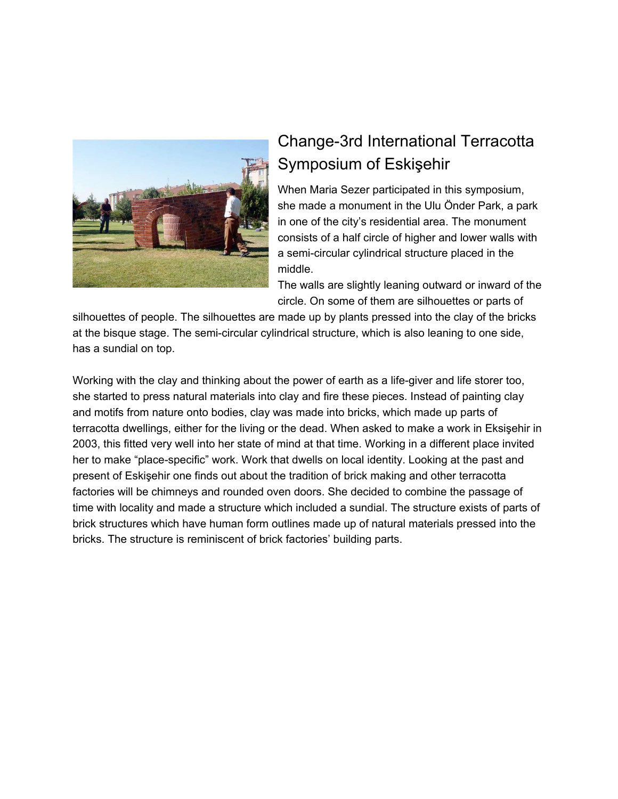<span id="page-7-0"></span>

## Change-3rd International Terracotta Symposium of Eskişehir

When Maria Sezer participated in this symposium, she made a monument in the Ulu Önder Park, a park in one of the city's residential area. The monument consists of a half circle of higher and lower walls with a semi-circular cylindrical structure placed in the middle.

The walls are slightly leaning outward or inward of the circle. On some of them are silhouettes or parts of

silhouettes of people. The silhouettes are made up by plants pressed into the clay of the bricks at the bisque stage. The semi-circular cylindrical structure, which is also leaning to one side, has a sundial on top.

Working with the clay and thinking about the power of earth as a life-giver and life storer too, she started to press natural materials into clay and fire these pieces. Instead of painting clay and motifs from nature onto bodies, clay was made into bricks, which made up parts of terracotta dwellings, either for the living or the dead. When asked to make a work in Eksişehir in 2003, this fitted very well into her state of mind at that time. Working in a different place invited her to make "place-specific" work. Work that dwells on local identity. Looking at the past and present of Eskişehir one finds out about the tradition of brick making and other terracotta factories will be chimneys and rounded oven doors. She decided to combine the passage of time with locality and made a structure which included a sundial. The structure exists of parts of brick structures which have human form outlines made up of natural materials pressed into the bricks. The structure is reminiscent of brick factories' building parts.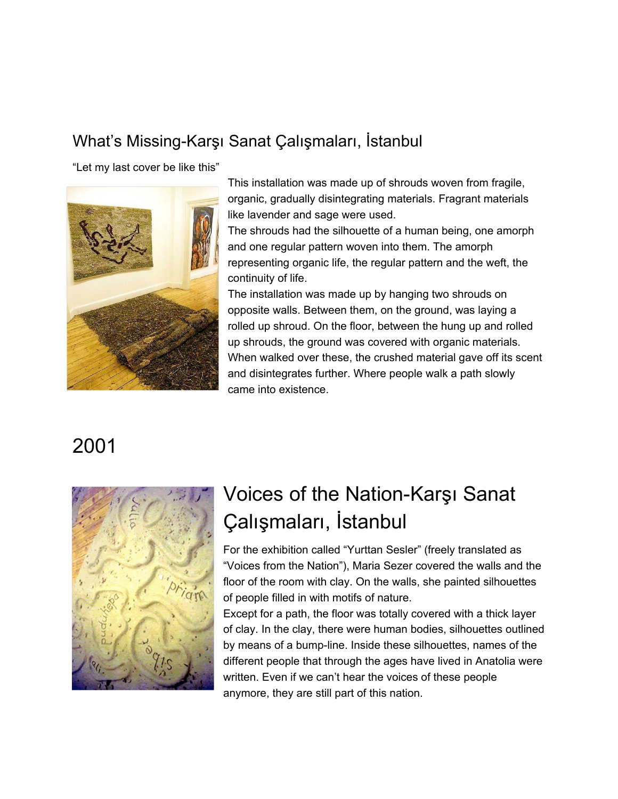### What's Missing-Karşı Sanat Çalışmaları, İstanbul

"Let my last cover be like this"



This installation was made up of shrouds woven from fragile, organic, gradually disintegrating materials. Fragrant materials like lavender and sage were used.

The shrouds had the silhouette of a human being, one amorph and one regular pattern woven into them. The amorph representing organic life, the regular pattern and the weft, the continuity of life.

The installation was made up by hanging two shrouds on opposite walls. Between them, on the ground, was laying a rolled up shroud. On the floor, between the hung up and rolled up shrouds, the ground was covered with organic materials. When walked over these, the crushed material gave off its scent and disintegrates further. Where people walk a path slowly came into existence.

# <span id="page-8-0"></span>2001



# Voices of the Nation-Karşı Sanat Çalışmaları, İstanbul

For the exhibition called "Yurttan Sesler" (freely translated as "Voices from the Nation"), Maria Sezer covered the walls and the floor of the room with clay. On the walls, she painted silhouettes of people filled in with motifs of nature.

Except for a path, the floor was totally covered with a thick layer of clay. In the clay, there were human bodies, silhouettes outlined by means of a bump-line. Inside these silhouettes, names of the different people that through the ages have lived in Anatolia were written. Even if we can't hear the voices of these people anymore, they are still part of this nation.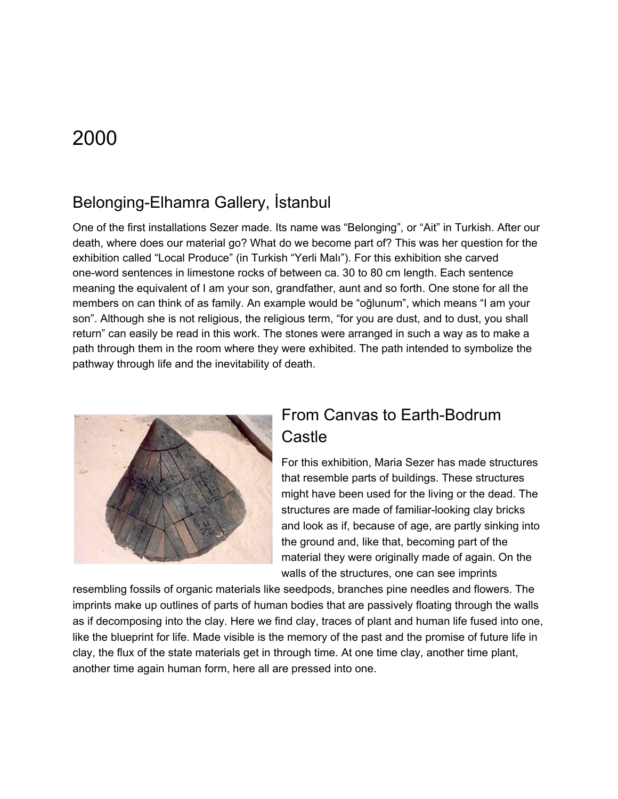### <span id="page-9-1"></span><span id="page-9-0"></span>Belonging-Elhamra Gallery, İstanbul

One of the first installations Sezer made. Its name was "Belonging", or "Ait" in Turkish. After our death, where does our material go? What do we become part of? This was her question for the exhibition called "Local Produce" (in Turkish "Yerli Malı"). For this exhibition she carved one-word sentences in limestone rocks of between ca. 30 to 80 cm length. Each sentence meaning the equivalent of I am your son, grandfather, aunt and so forth. One stone for all the members on can think of as family. An example would be "oğlunum", which means "I am your son". Although she is not religious, the religious term, "for you are dust, and to dust, you shall return" can easily be read in this work. The stones were arranged in such a way as to make a path through them in the room where they were exhibited. The path intended to symbolize the pathway through life and the inevitability of death.

<span id="page-9-2"></span>

### From Canvas to Earth-Bodrum **Castle**

For this exhibition, Maria Sezer has made structures that resemble parts of buildings. These structures might have been used for the living or the dead. The structures are made of familiar-looking clay bricks and look as if, because of age, are partly sinking into the ground and, like that, becoming part of the material they were originally made of again. On the walls of the structures, one can see imprints

resembling fossils of organic materials like seedpods, branches pine needles and flowers. The imprints make up outlines of parts of human bodies that are passively floating through the walls as if decomposing into the clay. Here we find clay, traces of plant and human life fused into one, like the blueprint for life. Made visible is the memory of the past and the promise of future life in clay, the flux of the state materials get in through time. At one time clay, another time plant, another time again human form, here all are pressed into one.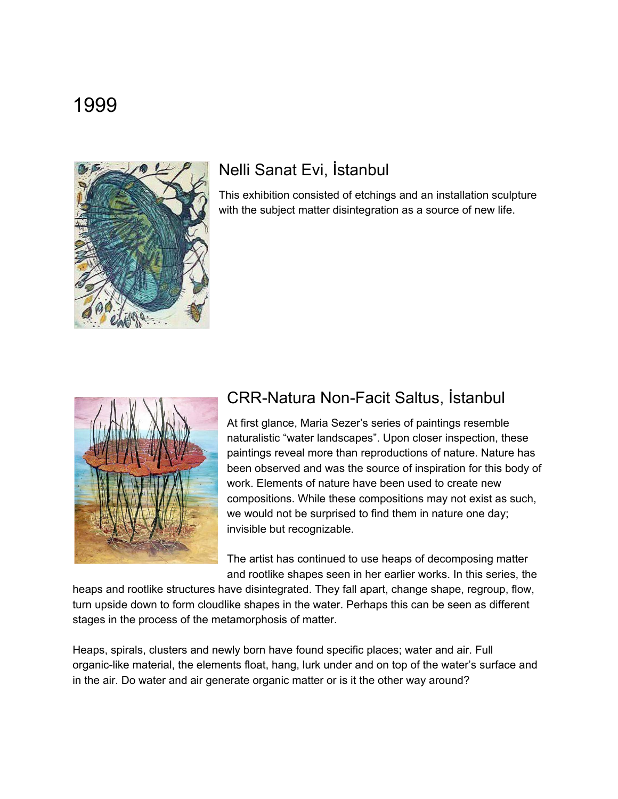<span id="page-10-1"></span><span id="page-10-0"></span>

### Nelli Sanat Evi, İstanbul

This exhibition consisted of etchings and an installation sculpture with the subject matter disintegration as a source of new life.

<span id="page-10-2"></span>

### CRR-Natura Non-Facit Saltus, İstanbul

At first glance, Maria Sezer's series of paintings resemble naturalistic "water landscapes". Upon closer inspection, these paintings reveal more than reproductions of nature. Nature has been observed and was the source of inspiration for this body of work. Elements of nature have been used to create new compositions. While these compositions may not exist as such, we would not be surprised to find them in nature one day; invisible but recognizable.

The artist has continued to use heaps of decomposing matter and rootlike shapes seen in her earlier works. In this series, the

heaps and rootlike structures have disintegrated. They fall apart, change shape, regroup, flow, turn upside down to form cloudlike shapes in the water. Perhaps this can be seen as different stages in the process of the metamorphosis of matter.

Heaps, spirals, clusters and newly born have found specific places; water and air. Full organic-like material, the elements float, hang, lurk under and on top of the water's surface and in the air. Do water and air generate organic matter or is it the other way around?